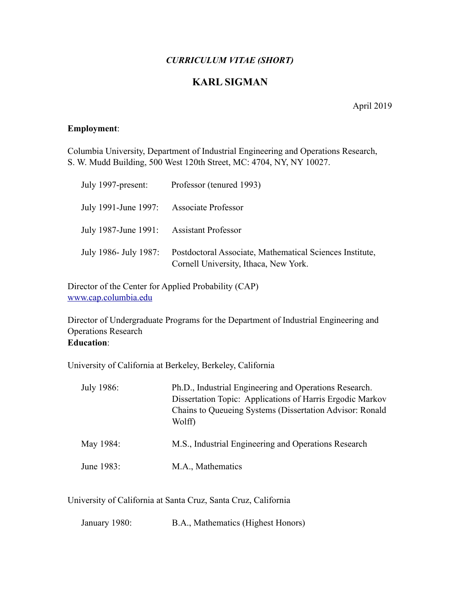## *CURRICULUM VITAE (SHORT)*

# **KARL SIGMAN**

April 2019

## **Employment**:

Columbia University, Department of Industrial Engineering and Operations Research, S. W. Mudd Building, 500 West 120th Street, MC: 4704, NY, NY 10027.

| July 1997-present:                       | Professor (tenured 1993)                                                                          |
|------------------------------------------|---------------------------------------------------------------------------------------------------|
| July 1991-June 1997: Associate Professor |                                                                                                   |
| July 1987-June 1991: Assistant Professor |                                                                                                   |
| July 1986- July 1987:                    | Postdoctoral Associate, Mathematical Sciences Institute,<br>Cornell University, Ithaca, New York. |

Director of the Center for Applied Probability (CAP) [www.cap.columbia.edu](http://www.cap.columbia.edu)

Director of Undergraduate Programs for the Department of Industrial Engineering and Operations Research **Education**:

University of California at Berkeley, Berkeley, California

| July 1986: | Ph.D., Industrial Engineering and Operations Research.<br>Dissertation Topic: Applications of Harris Ergodic Markov<br>Chains to Queueing Systems (Dissertation Advisor: Ronald<br>Wolff) |
|------------|-------------------------------------------------------------------------------------------------------------------------------------------------------------------------------------------|
| May 1984:  | M.S., Industrial Engineering and Operations Research                                                                                                                                      |
| June 1983: | M.A., Mathematics                                                                                                                                                                         |

University of California at Santa Cruz, Santa Cruz, California

| January 1980: | B.A., Mathematics (Highest Honors) |  |
|---------------|------------------------------------|--|
|               |                                    |  |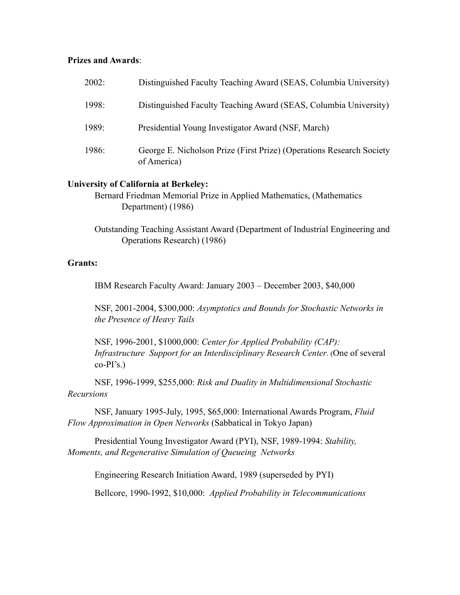## **Prizes and Awards**:

| 2002: | Distinguished Faculty Teaching Award (SEAS, Columbia University)                    |
|-------|-------------------------------------------------------------------------------------|
| 1998: | Distinguished Faculty Teaching Award (SEAS, Columbia University)                    |
| 1989: | Presidential Young Investigator Award (NSF, March)                                  |
| 1986: | George E. Nicholson Prize (First Prize) (Operations Research Society<br>of America) |

## **University of California at Berkeley:**

Bernard Friedman Memorial Prize in Applied Mathematics, (Mathematics Department) (1986)

Outstanding Teaching Assistant Award (Department of Industrial Engineering and Operations Research) (1986)

### **Grants:**

IBM Research Faculty Award: January 2003 – December 2003, \$40,000

NSF, 2001-2004, \$300,000: *Asymptotics and Bounds for Stochastic Networks in the Presence of Heavy Tails* 

NSF, 1996-2001, \$1000,000: *Center for Applied Probability (CAP): Infrastructure Support for an Interdisciplinary Research Center*. (One of several  $co-PI's.$ )

 NSF, 1996-1999, \$255,000: *Risk and Duality in Multidimensional Stochastic Recursions* 

 NSF, January 1995-July, 1995, \$65,000: International Awards Program, *Fluid Flow Approximation in Open Networks* (Sabbatical in Tokyo Japan)

Presidential Young Investigator Award (PYI), NSF, 1989-1994: *Stability, Moments, and Regenerative Simulation of Queueing Networks* 

Engineering Research Initiation Award, 1989 (superseded by PYI)

Bellcore, 1990-1992, \$10,000: *Applied Probability in Telecommunications*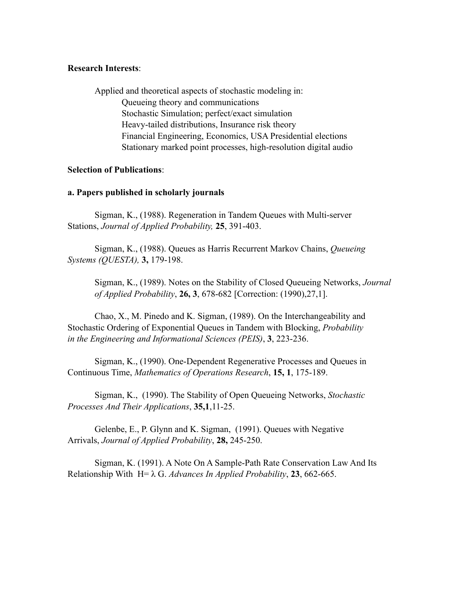#### **Research Interests**:

 Applied and theoretical aspects of stochastic modeling in: Queueing theory and communications Stochastic Simulation; perfect/exact simulation Heavy-tailed distributions, Insurance risk theory Financial Engineering, Economics, USA Presidential elections Stationary marked point processes, high-resolution digital audio

## **Selection of Publications**:

## **a. Papers published in scholarly journals**

 Sigman, K., (1988). Regeneration in Tandem Queues with Multi-server Stations, *Journal of Applied Probability,* **25**, 391-403.

 Sigman, K., (1988). Queues as Harris Recurrent Markov Chains, *Queueing Systems (QUESTA),* **3,** 179-198.

 Sigman, K., (1989). Notes on the Stability of Closed Queueing Networks, *Journal of Applied Probability*, **26, 3**, 678-682 [Correction: (1990),27,1].

 Chao, X., M. Pinedo and K. Sigman, (1989). On the Interchangeability and Stochastic Ordering of Exponential Queues in Tandem with Blocking, *Probability in the Engineering and Informational Sciences (PEIS)*, **3**, 223-236.

 Sigman, K., (1990). One-Dependent Regenerative Processes and Queues in Continuous Time, *Mathematics of Operations Research*, **15, 1**, 175-189.

 Sigman, K., (1990). The Stability of Open Queueing Networks, *Stochastic Processes And Their Applications*, **35,1**,11-25.

 Gelenbe, E., P. Glynn and K. Sigman, (1991). Queues with Negative Arrivals, *Journal of Applied Probability*, **28,** 245-250.

 Sigman, K. (1991). A Note On A Sample-Path Rate Conservation Law And Its Relationship With H= λ G. *Advances In Applied Probability*, **23**, 662-665.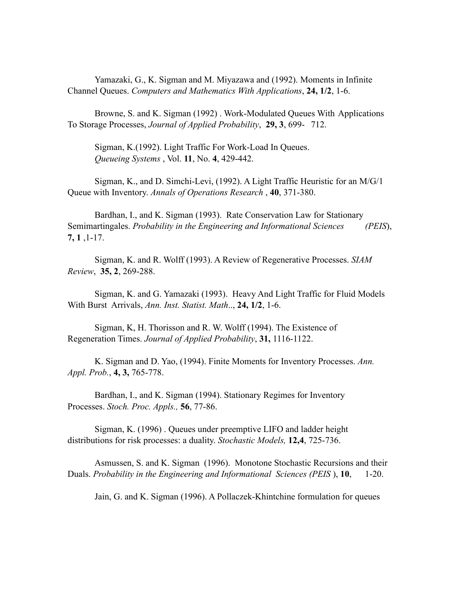Yamazaki, G., K. Sigman and M. Miyazawa and (1992). Moments in Infinite Channel Queues. *Computers and Mathematics With Applications*, **24, 1/2**, 1-6.

 Browne, S. and K. Sigman (1992) . Work-Modulated Queues With Applications To Storage Processes, *Journal of Applied Probability*, **29, 3**, 699- 712.

 Sigman, K.(1992). Light Traffic For Work-Load In Queues. *Queueing Systems* , Vol. **11**, No. **4**, 429-442.

 Sigman, K., and D. Simchi-Levi, (1992). A Light Traffic Heuristic for an M/G/1 Queue with Inventory. *Annals of Operations Research* , **40**, 371-380.

 Bardhan, I., and K. Sigman (1993). Rate Conservation Law for Stationary Semimartingales. *Probability in the Engineering and Informational Sciences (PEIS*), **7, 1** ,1-17.

 Sigman, K. and R. Wolff (1993). A Review of Regenerative Processes. *SIAM Review*, **35, 2**, 269-288.

 Sigman, K. and G. Yamazaki (1993). Heavy And Light Traffic for Fluid Models With Burst Arrivals, *Ann. Inst. Statist. Math*.., **24, 1/2**, 1-6.

 Sigman, K, H. Thorisson and R. W. Wolff (1994). The Existence of Regeneration Times. *Journal of Applied Probability*, **31,** 1116-1122.

 K. Sigman and D. Yao, (1994). Finite Moments for Inventory Processes. *Ann. Appl. Prob.*, **4, 3,** 765-778.

 Bardhan, I., and K. Sigman (1994). Stationary Regimes for Inventory Processes. *Stoch. Proc. Appls.,* **56**, 77-86.

 Sigman, K. (1996) . Queues under preemptive LIFO and ladder height distributions for risk processes: a duality. *Stochastic Models,* **12,4**, 725-736.

 Asmussen, S. and K. Sigman (1996). Monotone Stochastic Recursions and their Duals. *Probability in the Engineering and Informational Sciences (PEIS* ), **10**, 1-20.

Jain, G. and K. Sigman (1996). A Pollaczek-Khintchine formulation for queues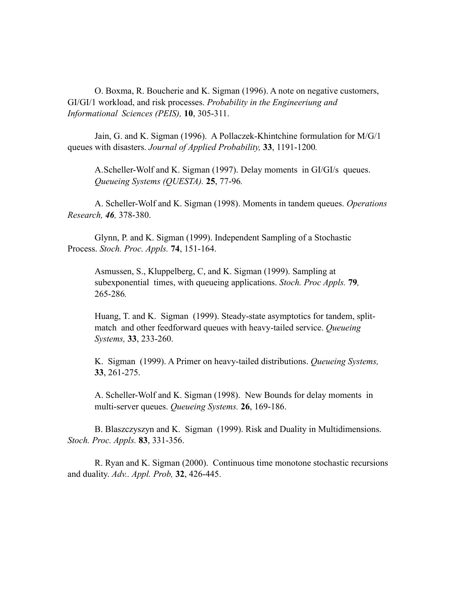O. Boxma, R. Boucherie and K. Sigman (1996). A note on negative customers, GI/GI/1 workload, and risk processes. *Probability in the Engineeriung and Informational Sciences (PEIS),* **10**, 305-311.

 Jain, G. and K. Sigman (1996). A Pollaczek-Khintchine formulation for M/G/1 queues with disasters. *Journal of Applied Probability,* **33**, 1191-1200*.* 

A.Scheller-Wolf and K. Sigman (1997). Delay moments in GI/GI/s queues. *Queueing Systems (QUESTA).* **25**, 77-96*.* 

 A. Scheller-Wolf and K. Sigman (1998). Moments in tandem queues. *Operations Research, 46,* 378-380.

 Glynn, P. and K. Sigman (1999). Independent Sampling of a Stochastic Process. *Stoch. Proc. Appls.* **74**, 151-164.

Asmussen, S., Kluppelberg, C, and K. Sigman (1999). Sampling at subexponential times, with queueing applications. *Stoch. Proc Appls.* **79***,*  265-286*.* 

Huang, T. and K. Sigman (1999). Steady-state asymptotics for tandem, splitmatch and other feedforward queues with heavy-tailed service. *Queueing Systems,* **33**, 233-260.

K. Sigman (1999). A Primer on heavy-tailed distributions. *Queueing Systems,*  **33**, 261-275.

A. Scheller-Wolf and K. Sigman (1998). New Bounds for delay moments in multi-server queues. *Queueing Systems.* **26**, 169-186.

 B. Blaszczyszyn and K. Sigman (1999). Risk and Duality in Multidimensions. *Stoch. Proc. Appls.* **83**, 331-356.

 R. Ryan and K. Sigman (2000). Continuous time monotone stochastic recursions and duality. *Adv.. Appl. Prob,* **32**, 426-445.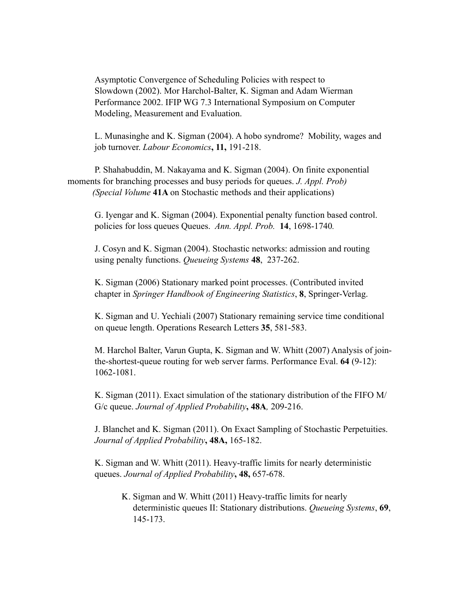Asymptotic Convergence of Scheduling Policies with respect to Slowdown (2002). Mor Harchol-Balter, K. Sigman and Adam Wierman Performance 2002. IFIP WG 7.3 International Symposium on Computer Modeling, Measurement and Evaluation.

L. Munasinghe and K. Sigman (2004). A hobo syndrome? Mobility, wages and job turnover. *Labour Economics***, 11,** 191-218.

 P. Shahabuddin, M. Nakayama and K. Sigman (2004). On finite exponential moments for branching processes and busy periods for queues. *J. Appl. Prob) (Special Volume* **41A** on Stochastic methods and their applications)

 G. Iyengar and K. Sigman (2004). Exponential penalty function based control. policies for loss queues Queues. *Ann. Appl. Prob.* **14**, 1698-1740*.*

J. Cosyn and K. Sigman (2004). Stochastic networks: admission and routing using penalty functions. *Queueing Systems* **48**, 237-262.

K. Sigman (2006) Stationary marked point processes. (Contributed invited chapter in *Springer Handbook of Engineering Statistics*, **8**, Springer-Verlag.

K. Sigman and U. Yechiali (2007) Stationary remaining service time conditional on queue length. Operations Research Letters **35**, 581-583.

M. Harchol Balter, Varun Gupta, K. Sigman and W. Whitt (2007) Analysis of jointhe-shortest-queue routing for web server farms. Performance Eval. **64** (9-12): 1062-1081.

K. Sigman (2011). Exact simulation of the stationary distribution of the FIFO M/ G/c queue. *Journal of Applied Probability***, 48A***,* 209-216.

J. Blanchet and K. Sigman (2011). On Exact Sampling of Stochastic Perpetuities. *Journal of Applied Probability***, 48A,** 165-182.

 K. Sigman and W. Whitt (2011). Heavy-traffic limits for nearly deterministic queues. *Journal of Applied Probability***, 48,** 657-678.

K. Sigman and W. Whitt (2011) Heavy-traffic limits for nearly deterministic queues II: Stationary distributions. *Queueing Systems*, **69**, 145-173.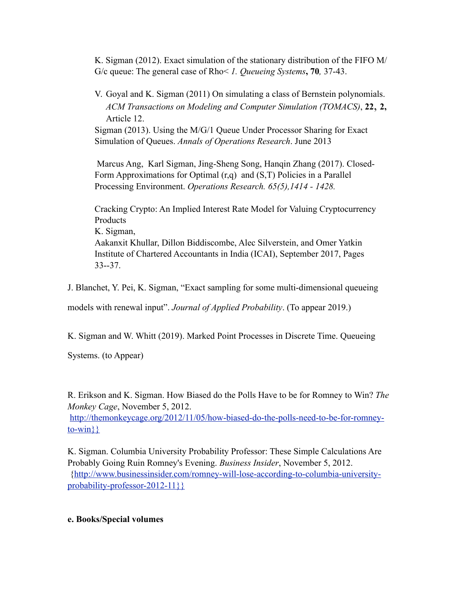K. Sigman (2012). Exact simulation of the stationary distribution of the FIFO M/ G/c queue: The general case of Rho< *1. Queueing Systems***, 70***,* 37-43.

V. Goyal and K. Sigman (2011) On simulating a class of Bernstein polynomials. *ACM Transactions on Modeling and Computer Simulation (TOMACS)*, **22**, **2,**  Article 12.

Sigman (2013). Using the M/G/1 Queue Under Processor Sharing for Exact Simulation of Queues. *Annals of Operations Research*. June 2013

 Marcus Ang, Karl Sigman, Jing-Sheng Song, Hanqin Zhang (2017). Closed-Form Approximations for Optimal  $(r,q)$  and  $(S,T)$  Policies in a Parallel Processing Environment. *Operations Research. 65(5),1414 - 1428.*

Cracking Crypto: An Implied Interest Rate Model for Valuing Cryptocurrency Products K. Sigman, Aakanxit Khullar, Dillon Biddiscombe, Alec Silverstein, and Omer Yatkin Institute of Chartered Accountants in India (ICAI), September 2017, Pages 33--37.

J. Blanchet, Y. Pei, K. Sigman, "Exact sampling for some multi-dimensional queueing

models with renewal input". *Journal of Applied Probability*. (To appear 2019.)

K. Sigman and W. Whitt (2019). Marked Point Processes in Discrete Time. Queueing

Systems. (to Appear)

R. Erikson and K. Sigman. How Biased do the Polls Have to be for Romney to Win? *The Monkey Cage*, November 5, 2012.

[http://themonkeycage.org/2012/11/05/how-biased-do-the-polls-need-to-be-for-romney](http://livepage.apple.com/)[to-win}}](http://livepage.apple.com/)

K. Sigman. Columbia University Probability Professor: These Simple Calculations Are Probably Going Ruin Romney's Evening. *Business Insider*, November 5, 2012. {[http://www.businessinsider.com/romney-will-lose-according-to-columbia-university](http://livepage.apple.com/)[probability-professor-2012-11}}](http://livepage.apple.com/)

## **e. Books/Special volumes**